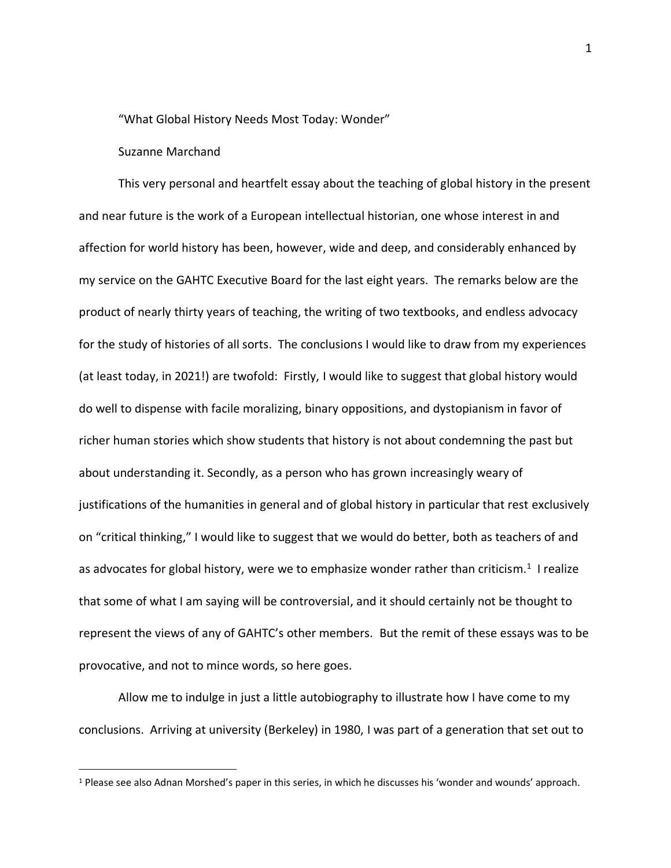"What Global History Needs Most Today: Wonder"

## Suzanne Marchand

This very personal and heartfelt essay about the teaching of global history in the present and near future is the work of a European intellectual historian, one whose interest in and affection for world history has been, however, wide and deep, and considerably enhanced by my service on the GAHTC Executive Board for the last eight years. The remarks below are the product of nearly thirty years of teaching, the writing of two textbooks, and endless advocacy for the study of histories of all sorts. The conclusions I would like to draw from my experiences (at least today, in 2021!) are twofold: Firstly, I would like to suggest that global history would do well to dispense with facile moralizing, binary oppositions, and dystopianism in favor of richer human stories which show students that history is not about condemning the past but about understanding it. Secondly, as a person who has grown increasingly weary of justifications of the humanities in general and of global history in particular that rest exclusively on "critical thinking," I would like to suggest that we would do better, both as teachers of and as advocates for global history, were we to emphasize wonder rather than criticism.<sup>1</sup> I realize that some of what I am saying will be controversial, and it should certainly not be thought to represent the views of any of GAHTC's other members. But the remit of these essays was to be provocative, and not to mince words, so here goes.

Allow me to indulge in just a little autobiography to illustrate how I have come to my conclusions. Arriving at university (Berkeley) in 1980, I was part of a generation that set out to

<sup>1</sup> Please see also Adnan Morshed's paper in this series, in which he discusses his 'wonder and wounds' approach.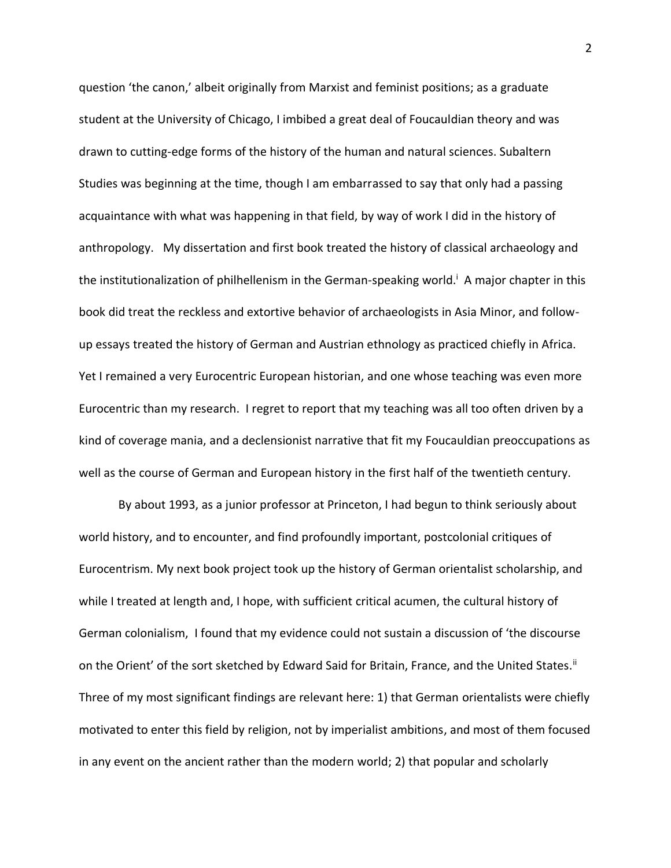question 'the canon,' albeit originally from Marxist and feminist positions; as a graduate student at the University of Chicago, I imbibed a great deal of Foucauldian theory and was drawn to cutting-edge forms of the history of the human and natural sciences. Subaltern Studies was beginning at the time, though I am embarrassed to say that only had a passing acquaintance with what was happening in that field, by way of work I did in the history of anthropology. My dissertation and first book treated the history of classical archaeology and the institutionalization of philhellenism in the German-speaking world.<sup>i</sup> A major chapter in this book did treat the reckless and extortive behavior of archaeologists in Asia Minor, and followup essays treated the history of German and Austrian ethnology as practiced chiefly in Africa. Yet I remained a very Eurocentric European historian, and one whose teaching was even more Eurocentric than my research. I regret to report that my teaching was all too often driven by a kind of coverage mania, and a declensionist narrative that fit my Foucauldian preoccupations as well as the course of German and European history in the first half of the twentieth century.

By about 1993, as a junior professor at Princeton, I had begun to think seriously about world history, and to encounter, and find profoundly important, postcolonial critiques of Eurocentrism. My next book project took up the history of German orientalist scholarship, and while I treated at length and, I hope, with sufficient critical acumen, the cultural history of German colonialism, I found that my evidence could not sustain a discussion of 'the discourse on the Orient' of the sort sketched by Edward Said for Britain, France, and the United States.<sup>ii</sup> Three of my most significant findings are relevant here: 1) that German orientalists were chiefly motivated to enter this field by religion, not by imperialist ambitions, and most of them focused in any event on the ancient rather than the modern world; 2) that popular and scholarly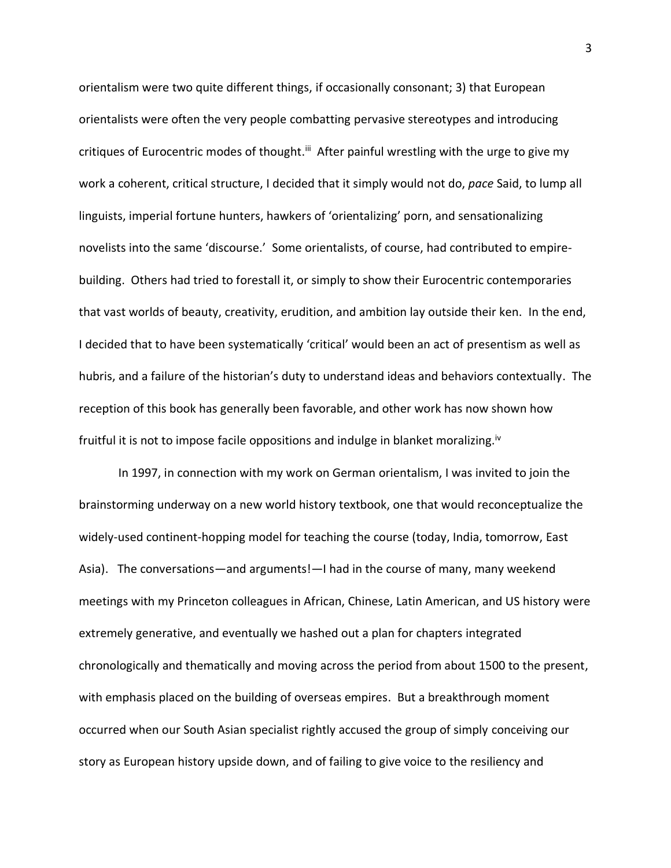orientalism were two quite different things, if occasionally consonant; 3) that European orientalists were often the very people combatting pervasive stereotypes and introducing critiques of Eurocentric modes of thought.<sup>iii</sup> After painful wrestling with the urge to give my work a coherent, critical structure, I decided that it simply would not do, *pace* Said, to lump all linguists, imperial fortune hunters, hawkers of 'orientalizing' porn, and sensationalizing novelists into the same 'discourse.' Some orientalists, of course, had contributed to empirebuilding. Others had tried to forestall it, or simply to show their Eurocentric contemporaries that vast worlds of beauty, creativity, erudition, and ambition lay outside their ken. In the end, I decided that to have been systematically 'critical' would been an act of presentism as well as hubris, and a failure of the historian's duty to understand ideas and behaviors contextually. The reception of this book has generally been favorable, and other work has now shown how fruitful it is not to impose facile oppositions and indulge in blanket moralizing.<sup>iv</sup>

In 1997, in connection with my work on German orientalism, I was invited to join the brainstorming underway on a new world history textbook, one that would reconceptualize the widely-used continent-hopping model for teaching the course (today, India, tomorrow, East Asia). The conversations—and arguments!—I had in the course of many, many weekend meetings with my Princeton colleagues in African, Chinese, Latin American, and US history were extremely generative, and eventually we hashed out a plan for chapters integrated chronologically and thematically and moving across the period from about 1500 to the present, with emphasis placed on the building of overseas empires. But a breakthrough moment occurred when our South Asian specialist rightly accused the group of simply conceiving our story as European history upside down, and of failing to give voice to the resiliency and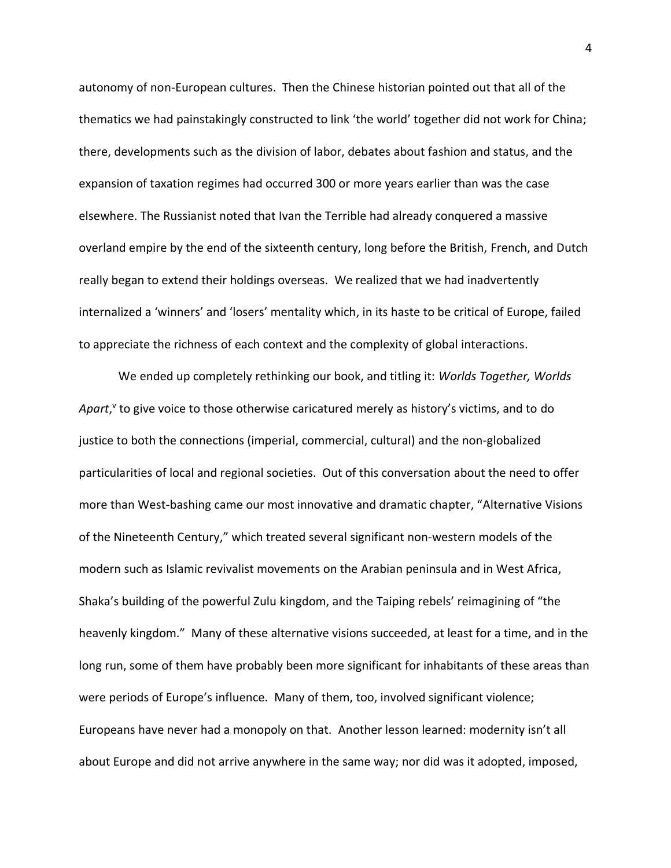autonomy of non-European cultures. Then the Chinese historian pointed out that all of the thematics we had painstakingly constructed to link 'the world' together did not work for China; there, developments such as the division of labor, debates about fashion and status, and the expansion of taxation regimes had occurred 300 or more years earlier than was the case elsewhere. The Russianist noted that Ivan the Terrible had already conquered a massive overland empire by the end of the sixteenth century, long before the British, French, and Dutch really began to extend their holdings overseas. We realized that we had inadvertently internalized a 'winners' and 'losers' mentality which, in its haste to be critical of Europe, failed to appreciate the richness of each context and the complexity of global interactions.

We ended up completely rethinking our book, and titling it: *Worlds Together, Worlds*  Apart,<sup>v</sup> to give voice to those otherwise caricatured merely as history's victims, and to do justice to both the connections (imperial, commercial, cultural) and the non-globalized particularities of local and regional societies. Out of this conversation about the need to offer more than West-bashing came our most innovative and dramatic chapter, "Alternative Visions of the Nineteenth Century," which treated several significant non-western models of the modern such as Islamic revivalist movements on the Arabian peninsula and in West Africa, Shaka's building of the powerful Zulu kingdom, and the Taiping rebels' reimagining of "the heavenly kingdom." Many of these alternative visions succeeded, at least for a time, and in the long run, some of them have probably been more significant for inhabitants of these areas than were periods of Europe's influence. Many of them, too, involved significant violence; Europeans have never had a monopoly on that. Another lesson learned: modernity isn't all about Europe and did not arrive anywhere in the same way; nor did was it adopted, imposed,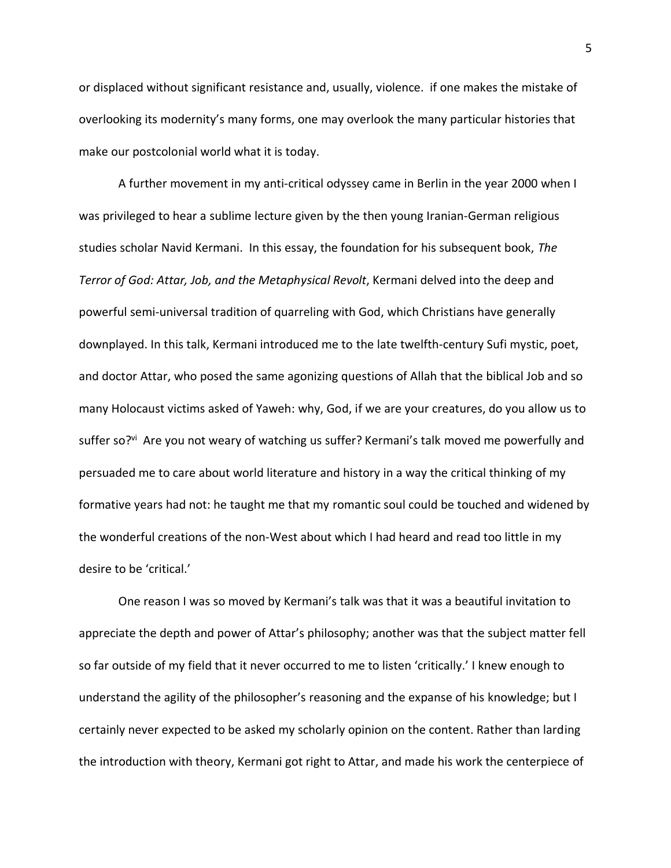or displaced without significant resistance and, usually, violence. if one makes the mistake of overlooking its modernity's many forms, one may overlook the many particular histories that make our postcolonial world what it is today.

A further movement in my anti-critical odyssey came in Berlin in the year 2000 when I was privileged to hear a sublime lecture given by the then young Iranian-German religious studies scholar Navid Kermani. In this essay, the foundation for his subsequent book, *The Terror of God: Attar, Job, and the Metaphysical Revolt*, Kermani delved into the deep and powerful semi-universal tradition of quarreling with God, which Christians have generally downplayed. In this talk, Kermani introduced me to the late twelfth-century Sufi mystic, poet, and doctor Attar, who posed the same agonizing questions of Allah that the biblical Job and so many Holocaust victims asked of Yaweh: why, God, if we are your creatures, do you allow us to suffer so?<sup>vi</sup> Are you not weary of watching us suffer? Kermani's talk moved me powerfully and persuaded me to care about world literature and history in a way the critical thinking of my formative years had not: he taught me that my romantic soul could be touched and widened by the wonderful creations of the non-West about which I had heard and read too little in my desire to be 'critical.'

One reason I was so moved by Kermani's talk was that it was a beautiful invitation to appreciate the depth and power of Attar's philosophy; another was that the subject matter fell so far outside of my field that it never occurred to me to listen 'critically.' I knew enough to understand the agility of the philosopher's reasoning and the expanse of his knowledge; but I certainly never expected to be asked my scholarly opinion on the content. Rather than larding the introduction with theory, Kermani got right to Attar, and made his work the centerpiece of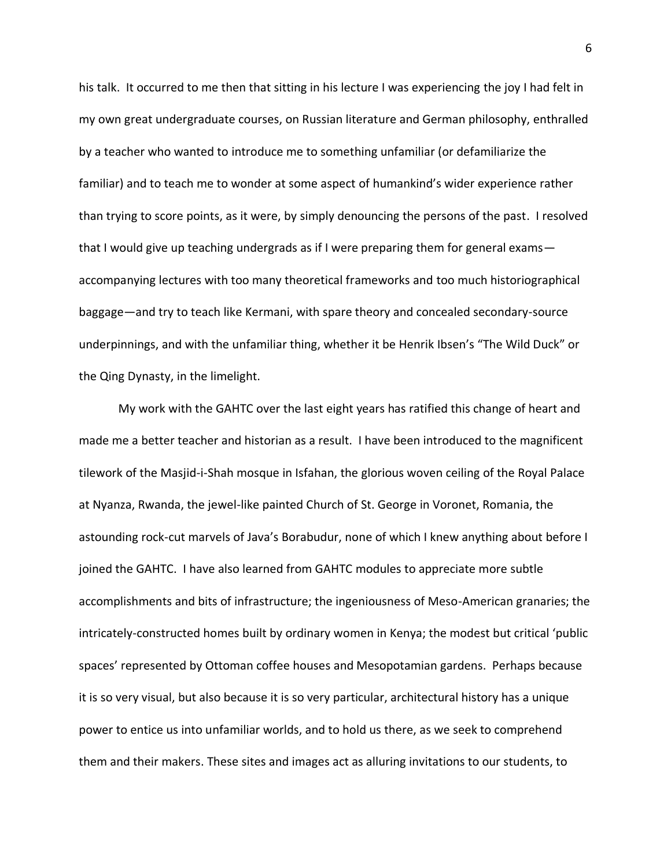his talk. It occurred to me then that sitting in his lecture I was experiencing the joy I had felt in my own great undergraduate courses, on Russian literature and German philosophy, enthralled by a teacher who wanted to introduce me to something unfamiliar (or defamiliarize the familiar) and to teach me to wonder at some aspect of humankind's wider experience rather than trying to score points, as it were, by simply denouncing the persons of the past. I resolved that I would give up teaching undergrads as if I were preparing them for general exams accompanying lectures with too many theoretical frameworks and too much historiographical baggage—and try to teach like Kermani, with spare theory and concealed secondary-source underpinnings, and with the unfamiliar thing, whether it be Henrik Ibsen's "The Wild Duck" or the Qing Dynasty, in the limelight.

My work with the GAHTC over the last eight years has ratified this change of heart and made me a better teacher and historian as a result. I have been introduced to the magnificent tilework of the Masjid-i-Shah mosque in Isfahan, the glorious woven ceiling of the Royal Palace at Nyanza, Rwanda, the jewel-like painted Church of St. George in Voronet, Romania, the astounding rock-cut marvels of Java's Borabudur, none of which I knew anything about before I joined the GAHTC. I have also learned from GAHTC modules to appreciate more subtle accomplishments and bits of infrastructure; the ingeniousness of Meso-American granaries; the intricately-constructed homes built by ordinary women in Kenya; the modest but critical 'public spaces' represented by Ottoman coffee houses and Mesopotamian gardens. Perhaps because it is so very visual, but also because it is so very particular, architectural history has a unique power to entice us into unfamiliar worlds, and to hold us there, as we seek to comprehend them and their makers. These sites and images act as alluring invitations to our students, to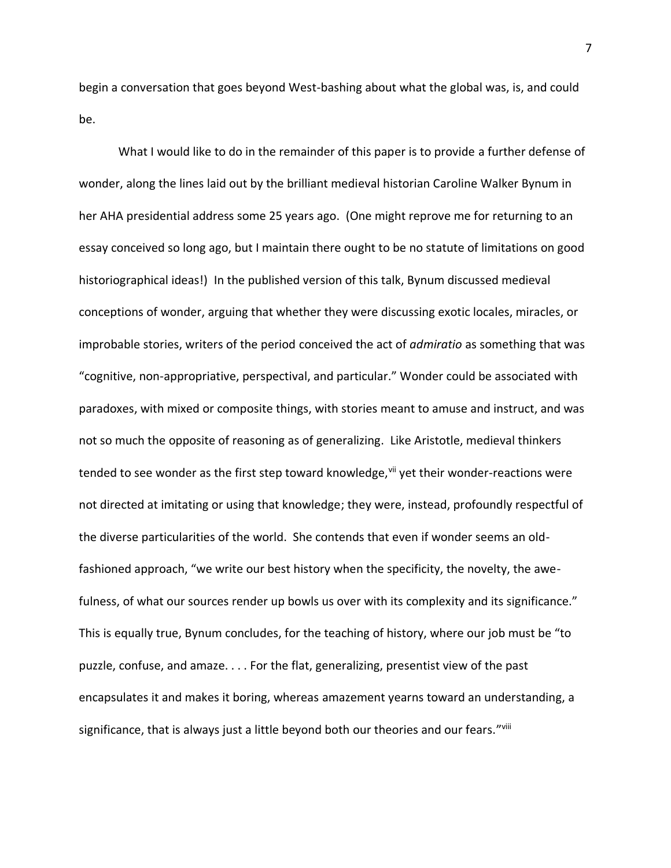begin a conversation that goes beyond West-bashing about what the global was, is, and could be.

What I would like to do in the remainder of this paper is to provide a further defense of wonder, along the lines laid out by the brilliant medieval historian Caroline Walker Bynum in her AHA presidential address some 25 years ago. (One might reprove me for returning to an essay conceived so long ago, but I maintain there ought to be no statute of limitations on good historiographical ideas!) In the published version of this talk, Bynum discussed medieval conceptions of wonder, arguing that whether they were discussing exotic locales, miracles, or improbable stories, writers of the period conceived the act of *admiratio* as something that was "cognitive, non-appropriative, perspectival, and particular." Wonder could be associated with paradoxes, with mixed or composite things, with stories meant to amuse and instruct, and was not so much the opposite of reasoning as of generalizing. Like Aristotle, medieval thinkers tended to see wonder as the first step toward knowledge, vill yet their wonder-reactions were not directed at imitating or using that knowledge; they were, instead, profoundly respectful of the diverse particularities of the world. She contends that even if wonder seems an oldfashioned approach, "we write our best history when the specificity, the novelty, the awefulness, of what our sources render up bowls us over with its complexity and its significance." This is equally true, Bynum concludes, for the teaching of history, where our job must be "to puzzle, confuse, and amaze. . . . For the flat, generalizing, presentist view of the past encapsulates it and makes it boring, whereas amazement yearns toward an understanding, a significance, that is always just a little beyond both our theories and our fears."''iii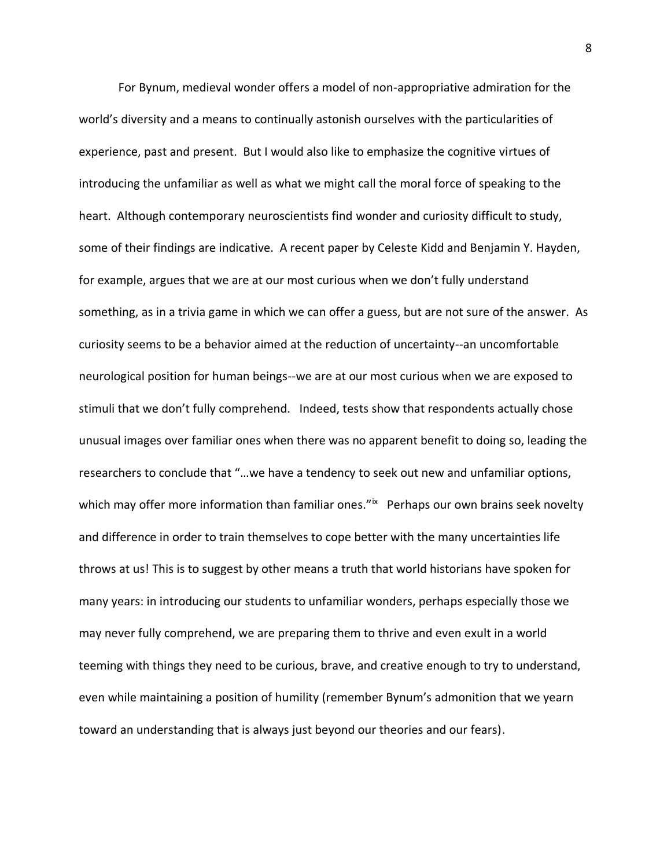For Bynum, medieval wonder offers a model of non-appropriative admiration for the world's diversity and a means to continually astonish ourselves with the particularities of experience, past and present. But I would also like to emphasize the cognitive virtues of introducing the unfamiliar as well as what we might call the moral force of speaking to the heart. Although contemporary neuroscientists find wonder and curiosity difficult to study, some of their findings are indicative. A recent paper by Celeste Kidd and Benjamin Y. Hayden, for example, argues that we are at our most curious when we don't fully understand something, as in a trivia game in which we can offer a guess, but are not sure of the answer. As curiosity seems to be a behavior aimed at the reduction of uncertainty--an uncomfortable neurological position for human beings--we are at our most curious when we are exposed to stimuli that we don't fully comprehend. Indeed, tests show that respondents actually chose unusual images over familiar ones when there was no apparent benefit to doing so, leading the researchers to conclude that "…we have a tendency to seek out new and unfamiliar options, which may offer more information than familiar ones."<sup>ix</sup> Perhaps our own brains seek novelty and difference in order to train themselves to cope better with the many uncertainties life throws at us! This is to suggest by other means a truth that world historians have spoken for many years: in introducing our students to unfamiliar wonders, perhaps especially those we may never fully comprehend, we are preparing them to thrive and even exult in a world teeming with things they need to be curious, brave, and creative enough to try to understand, even while maintaining a position of humility (remember Bynum's admonition that we yearn toward an understanding that is always just beyond our theories and our fears).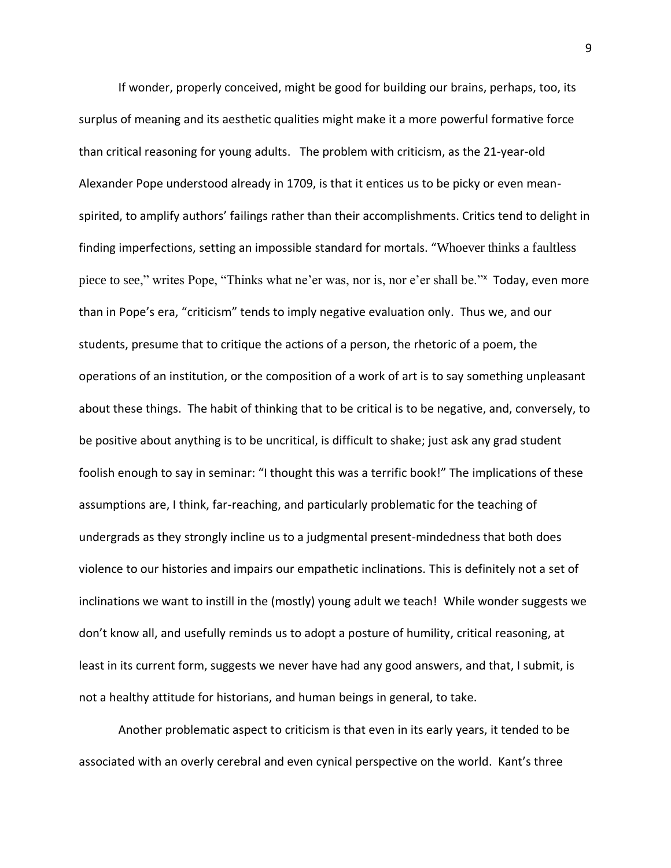If wonder, properly conceived, might be good for building our brains, perhaps, too, its surplus of meaning and its aesthetic qualities might make it a more powerful formative force than critical reasoning for young adults. The problem with criticism, as the 21-year-old Alexander Pope understood already in 1709, is that it entices us to be picky or even meanspirited, to amplify authors' failings rather than their accomplishments. Critics tend to delight in finding imperfections, setting an impossible standard for mortals. "Whoever thinks a faultless piece to see," writes Pope, "Thinks what ne'er was, nor is, nor e'er shall be." Today, even more than in Pope's era, "criticism" tends to imply negative evaluation only. Thus we, and our students, presume that to critique the actions of a person, the rhetoric of a poem, the operations of an institution, or the composition of a work of art is to say something unpleasant about these things. The habit of thinking that to be critical is to be negative, and, conversely, to be positive about anything is to be uncritical, is difficult to shake; just ask any grad student foolish enough to say in seminar: "I thought this was a terrific book!" The implications of these assumptions are, I think, far-reaching, and particularly problematic for the teaching of undergrads as they strongly incline us to a judgmental present-mindedness that both does violence to our histories and impairs our empathetic inclinations. This is definitely not a set of inclinations we want to instill in the (mostly) young adult we teach! While wonder suggests we don't know all, and usefully reminds us to adopt a posture of humility, critical reasoning, at least in its current form, suggests we never have had any good answers, and that, I submit, is not a healthy attitude for historians, and human beings in general, to take.

Another problematic aspect to criticism is that even in its early years, it tended to be associated with an overly cerebral and even cynical perspective on the world. Kant's three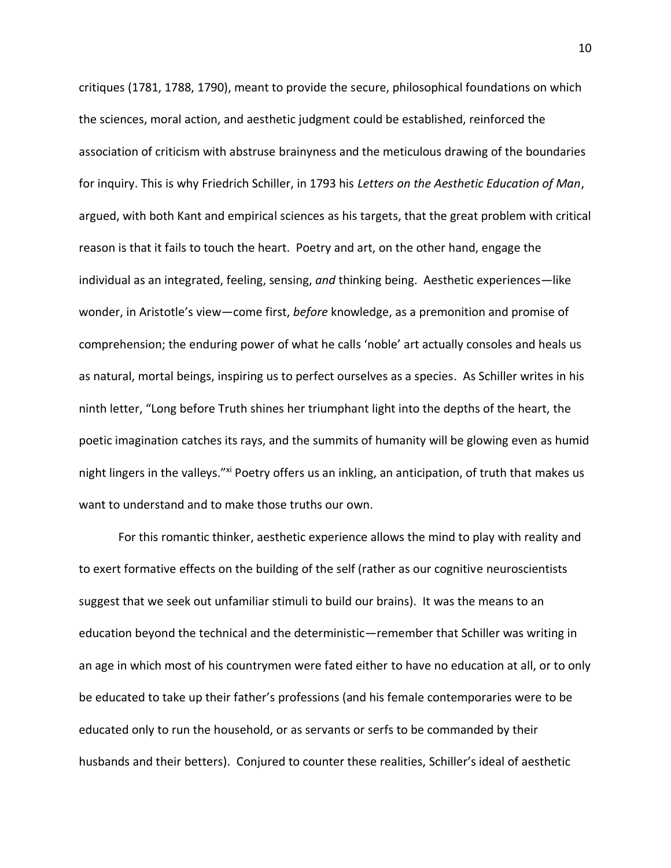critiques (1781, 1788, 1790), meant to provide the secure, philosophical foundations on which the sciences, moral action, and aesthetic judgment could be established, reinforced the association of criticism with abstruse brainyness and the meticulous drawing of the boundaries for inquiry. This is why Friedrich Schiller, in 1793 his *Letters on the Aesthetic Education of Man*, argued, with both Kant and empirical sciences as his targets, that the great problem with critical reason is that it fails to touch the heart. Poetry and art, on the other hand, engage the individual as an integrated, feeling, sensing, *and* thinking being. Aesthetic experiences—like wonder, in Aristotle's view—come first, *before* knowledge, as a premonition and promise of comprehension; the enduring power of what he calls 'noble' art actually consoles and heals us as natural, mortal beings, inspiring us to perfect ourselves as a species. As Schiller writes in his ninth letter, "Long before Truth shines her triumphant light into the depths of the heart, the poetic imagination catches its rays, and the summits of humanity will be glowing even as humid night lingers in the valleys."xi Poetry offers us an inkling, an anticipation, of truth that makes us want to understand and to make those truths our own.

For this romantic thinker, aesthetic experience allows the mind to play with reality and to exert formative effects on the building of the self (rather as our cognitive neuroscientists suggest that we seek out unfamiliar stimuli to build our brains). It was the means to an education beyond the technical and the deterministic—remember that Schiller was writing in an age in which most of his countrymen were fated either to have no education at all, or to only be educated to take up their father's professions (and his female contemporaries were to be educated only to run the household, or as servants or serfs to be commanded by their husbands and their betters). Conjured to counter these realities, Schiller's ideal of aesthetic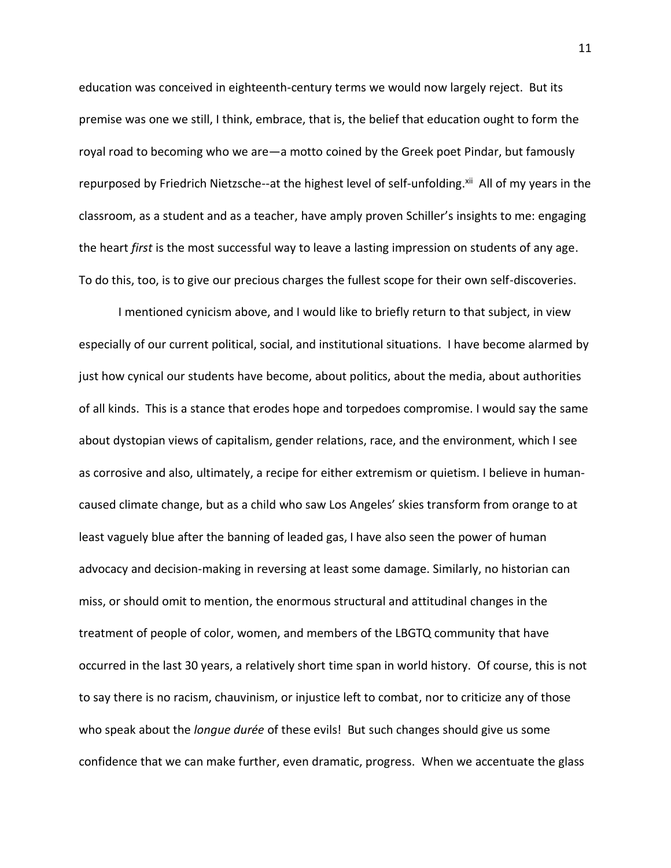education was conceived in eighteenth-century terms we would now largely reject. But its premise was one we still, I think, embrace, that is, the belief that education ought to form the royal road to becoming who we are—a motto coined by the Greek poet Pindar, but famously repurposed by Friedrich Nietzsche--at the highest level of self-unfolding.<sup>xii</sup> All of my years in the classroom, as a student and as a teacher, have amply proven Schiller's insights to me: engaging the heart *first* is the most successful way to leave a lasting impression on students of any age. To do this, too, is to give our precious charges the fullest scope for their own self-discoveries.

I mentioned cynicism above, and I would like to briefly return to that subject, in view especially of our current political, social, and institutional situations. I have become alarmed by just how cynical our students have become, about politics, about the media, about authorities of all kinds. This is a stance that erodes hope and torpedoes compromise. I would say the same about dystopian views of capitalism, gender relations, race, and the environment, which I see as corrosive and also, ultimately, a recipe for either extremism or quietism. I believe in humancaused climate change, but as a child who saw Los Angeles' skies transform from orange to at least vaguely blue after the banning of leaded gas, I have also seen the power of human advocacy and decision-making in reversing at least some damage. Similarly, no historian can miss, or should omit to mention, the enormous structural and attitudinal changes in the treatment of people of color, women, and members of the LBGTQ community that have occurred in the last 30 years, a relatively short time span in world history. Of course, this is not to say there is no racism, chauvinism, or injustice left to combat, nor to criticize any of those who speak about the *longue durée* of these evils! But such changes should give us some confidence that we can make further, even dramatic, progress. When we accentuate the glass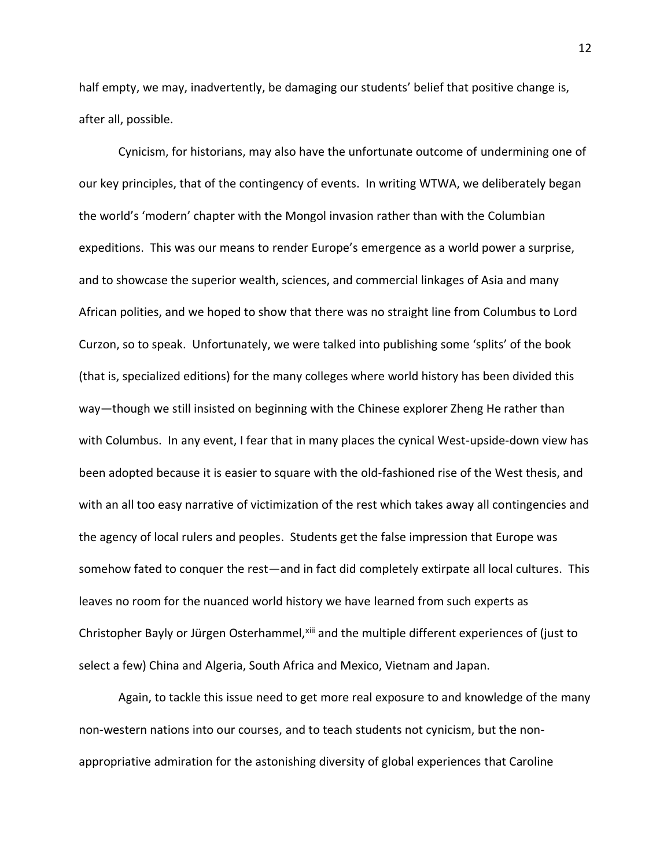half empty, we may, inadvertently, be damaging our students' belief that positive change is, after all, possible.

Cynicism, for historians, may also have the unfortunate outcome of undermining one of our key principles, that of the contingency of events. In writing WTWA, we deliberately began the world's 'modern' chapter with the Mongol invasion rather than with the Columbian expeditions. This was our means to render Europe's emergence as a world power a surprise, and to showcase the superior wealth, sciences, and commercial linkages of Asia and many African polities, and we hoped to show that there was no straight line from Columbus to Lord Curzon, so to speak. Unfortunately, we were talked into publishing some 'splits' of the book (that is, specialized editions) for the many colleges where world history has been divided this way—though we still insisted on beginning with the Chinese explorer Zheng He rather than with Columbus. In any event, I fear that in many places the cynical West-upside-down view has been adopted because it is easier to square with the old-fashioned rise of the West thesis, and with an all too easy narrative of victimization of the rest which takes away all contingencies and the agency of local rulers and peoples. Students get the false impression that Europe was somehow fated to conquer the rest—and in fact did completely extirpate all local cultures. This leaves no room for the nuanced world history we have learned from such experts as Christopher Bayly or Jürgen Osterhammel, xiii and the multiple different experiences of (just to select a few) China and Algeria, South Africa and Mexico, Vietnam and Japan.

Again, to tackle this issue need to get more real exposure to and knowledge of the many non-western nations into our courses, and to teach students not cynicism, but the nonappropriative admiration for the astonishing diversity of global experiences that Caroline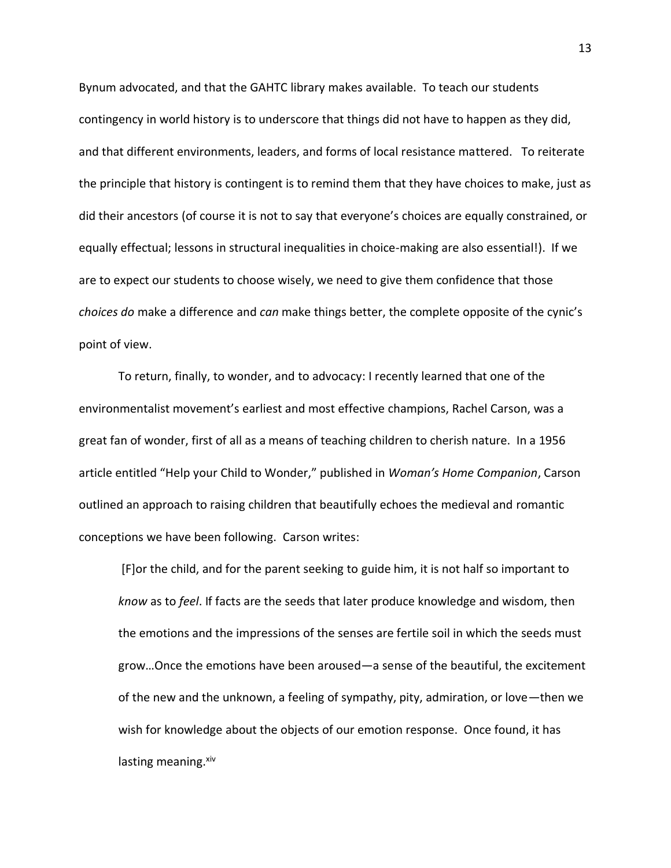Bynum advocated, and that the GAHTC library makes available. To teach our students contingency in world history is to underscore that things did not have to happen as they did, and that different environments, leaders, and forms of local resistance mattered. To reiterate the principle that history is contingent is to remind them that they have choices to make, just as did their ancestors (of course it is not to say that everyone's choices are equally constrained, or equally effectual; lessons in structural inequalities in choice-making are also essential!). If we are to expect our students to choose wisely, we need to give them confidence that those *choices do* make a difference and *can* make things better, the complete opposite of the cynic's point of view.

To return, finally, to wonder, and to advocacy: I recently learned that one of the environmentalist movement's earliest and most effective champions, Rachel Carson, was a great fan of wonder, first of all as a means of teaching children to cherish nature. In a 1956 article entitled "Help your Child to Wonder," published in *Woman's Home Companion*, Carson outlined an approach to raising children that beautifully echoes the medieval and romantic conceptions we have been following. Carson writes:

[F]or the child, and for the parent seeking to guide him, it is not half so important to *know* as to *feel*. If facts are the seeds that later produce knowledge and wisdom, then the emotions and the impressions of the senses are fertile soil in which the seeds must grow…Once the emotions have been aroused—a sense of the beautiful, the excitement of the new and the unknown, a feeling of sympathy, pity, admiration, or love—then we wish for knowledge about the objects of our emotion response. Once found, it has lasting meaning.<sup>xiv</sup>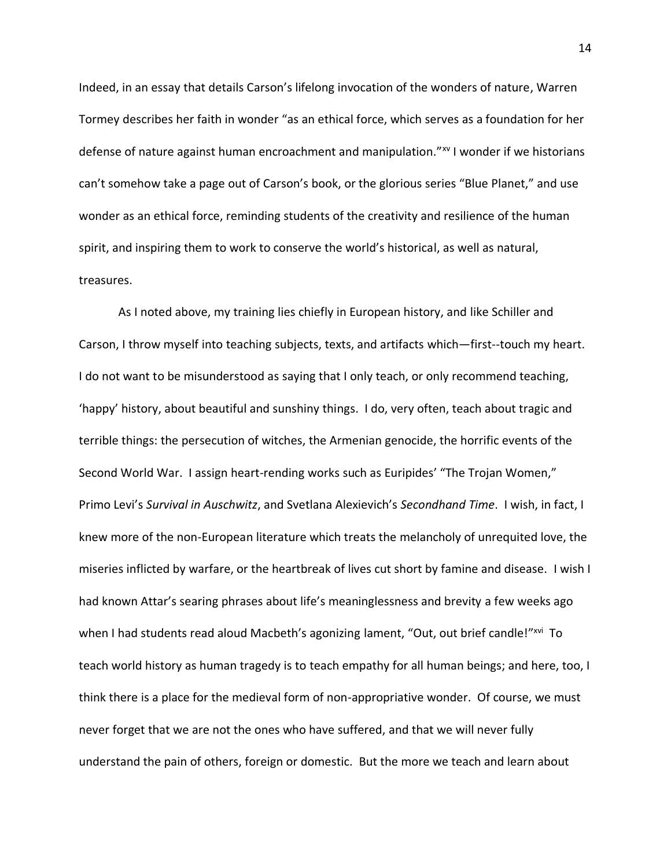Indeed, in an essay that details Carson's lifelong invocation of the wonders of nature, Warren Tormey describes her faith in wonder "as an ethical force, which serves as a foundation for her defense of nature against human encroachment and manipulation."<sup>xv</sup> I wonder if we historians can't somehow take a page out of Carson's book, or the glorious series "Blue Planet," and use wonder as an ethical force, reminding students of the creativity and resilience of the human spirit, and inspiring them to work to conserve the world's historical, as well as natural, treasures.

As I noted above, my training lies chiefly in European history, and like Schiller and Carson, I throw myself into teaching subjects, texts, and artifacts which—first--touch my heart. I do not want to be misunderstood as saying that I only teach, or only recommend teaching, 'happy' history, about beautiful and sunshiny things. I do, very often, teach about tragic and terrible things: the persecution of witches, the Armenian genocide, the horrific events of the Second World War. I assign heart-rending works such as Euripides' "The Trojan Women," Primo Levi's *Survival in Auschwitz*, and Svetlana Alexievich's *Secondhand Time*. I wish, in fact, I knew more of the non-European literature which treats the melancholy of unrequited love, the miseries inflicted by warfare, or the heartbreak of lives cut short by famine and disease. I wish I had known Attar's searing phrases about life's meaninglessness and brevity a few weeks ago when I had students read aloud Macbeth's agonizing lament, "Out, out brief candle!"<sup>xvi</sup> To teach world history as human tragedy is to teach empathy for all human beings; and here, too, I think there is a place for the medieval form of non-appropriative wonder. Of course, we must never forget that we are not the ones who have suffered, and that we will never fully understand the pain of others, foreign or domestic. But the more we teach and learn about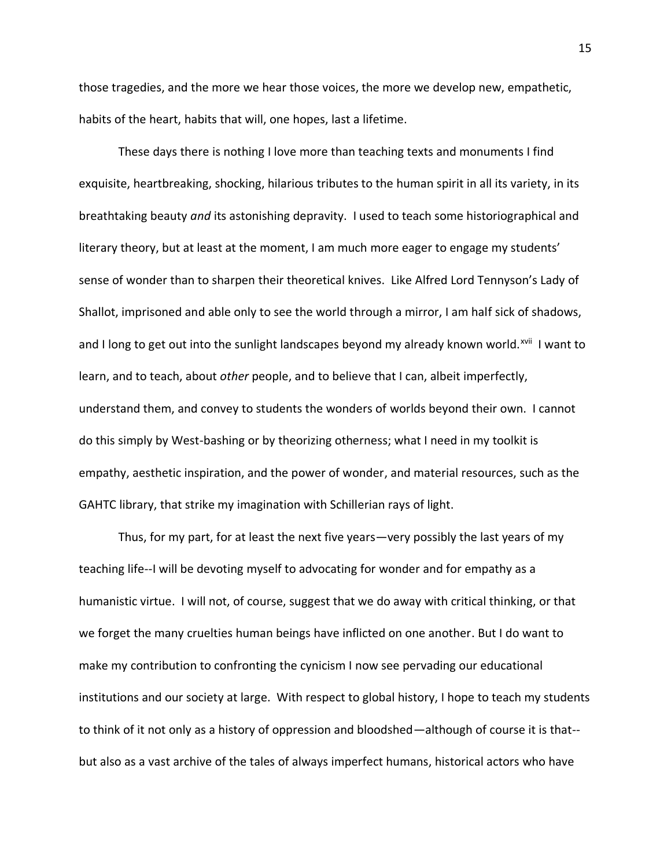those tragedies, and the more we hear those voices, the more we develop new, empathetic, habits of the heart, habits that will, one hopes, last a lifetime.

These days there is nothing I love more than teaching texts and monuments I find exquisite, heartbreaking, shocking, hilarious tributes to the human spirit in all its variety, in its breathtaking beauty *and* its astonishing depravity. I used to teach some historiographical and literary theory, but at least at the moment, I am much more eager to engage my students' sense of wonder than to sharpen their theoretical knives. Like Alfred Lord Tennyson's Lady of Shallot, imprisoned and able only to see the world through a mirror, I am half sick of shadows, and I long to get out into the sunlight landscapes beyond my already known world.<sup>xvii</sup> I want to learn, and to teach, about *other* people, and to believe that I can, albeit imperfectly, understand them, and convey to students the wonders of worlds beyond their own. I cannot do this simply by West-bashing or by theorizing otherness; what I need in my toolkit is empathy, aesthetic inspiration, and the power of wonder, and material resources, such as the GAHTC library, that strike my imagination with Schillerian rays of light.

Thus, for my part, for at least the next five years—very possibly the last years of my teaching life--I will be devoting myself to advocating for wonder and for empathy as a humanistic virtue. I will not, of course, suggest that we do away with critical thinking, or that we forget the many cruelties human beings have inflicted on one another. But I do want to make my contribution to confronting the cynicism I now see pervading our educational institutions and our society at large. With respect to global history, I hope to teach my students to think of it not only as a history of oppression and bloodshed—although of course it is that- but also as a vast archive of the tales of always imperfect humans, historical actors who have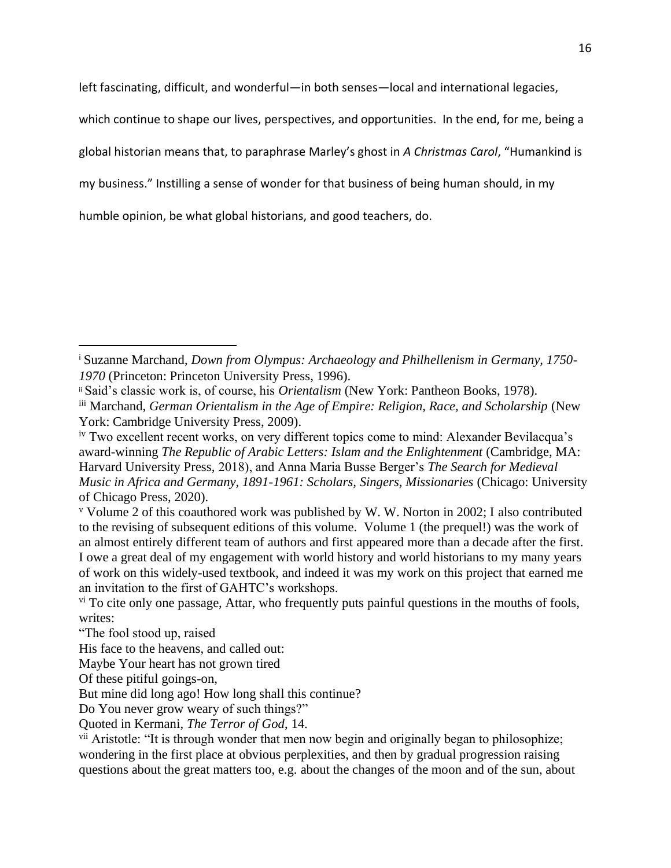left fascinating, difficult, and wonderful—in both senses—local and international legacies,

which continue to shape our lives, perspectives, and opportunities. In the end, for me, being a

global historian means that, to paraphrase Marley's ghost in *A Christmas Carol*, "Humankind is

my business." Instilling a sense of wonder for that business of being human should, in my

humble opinion, be what global historians, and good teachers, do.

<sup>i</sup> Suzanne Marchand, *Down from Olympus: Archaeology and Philhellenism in Germany, 1750- 1970* (Princeton: Princeton University Press, 1996).

ii Said's classic work is, of course, his *Orientalism* (New York: Pantheon Books, 1978).

iii Marchand, *German Orientalism in the Age of Empire: Religion, Race, and Scholarship* (New York: Cambridge University Press, 2009).

<sup>&</sup>lt;sup>iv</sup> Two excellent recent works, on very different topics come to mind: Alexander Bevilacqua's award-winning *The Republic of Arabic Letters: Islam and the Enlightenment* (Cambridge, MA: Harvard University Press, 2018), and Anna Maria Busse Berger's *The Search for Medieval Music in Africa and Germany, 1891-1961: Scholars, Singers, Missionaries* (Chicago: University of Chicago Press, 2020).

<sup>v</sup> Volume 2 of this coauthored work was published by W. W. Norton in 2002; I also contributed to the revising of subsequent editions of this volume. Volume 1 (the prequel!) was the work of an almost entirely different team of authors and first appeared more than a decade after the first. I owe a great deal of my engagement with world history and world historians to my many years of work on this widely-used textbook, and indeed it was my work on this project that earned me an invitation to the first of GAHTC's workshops.

<sup>&</sup>lt;sup>vi</sup> To cite only one passage, Attar, who frequently puts painful questions in the mouths of fools, writes:

<sup>&</sup>quot;The fool stood up, raised

His face to the heavens, and called out:

Maybe Your heart has not grown tired

Of these pitiful goings-on,

But mine did long ago! How long shall this continue?

Do You never grow weary of such things?"

Quoted in Kermani, *The Terror of God*, 14.

<sup>&</sup>lt;sup>vii</sup> Aristotle: "It is through wonder that men now begin and originally began to philosophize; wondering in the first place at obvious perplexities, and then by gradual progression raising questions about the great matters too, e.g. about the changes of the moon and of the sun, about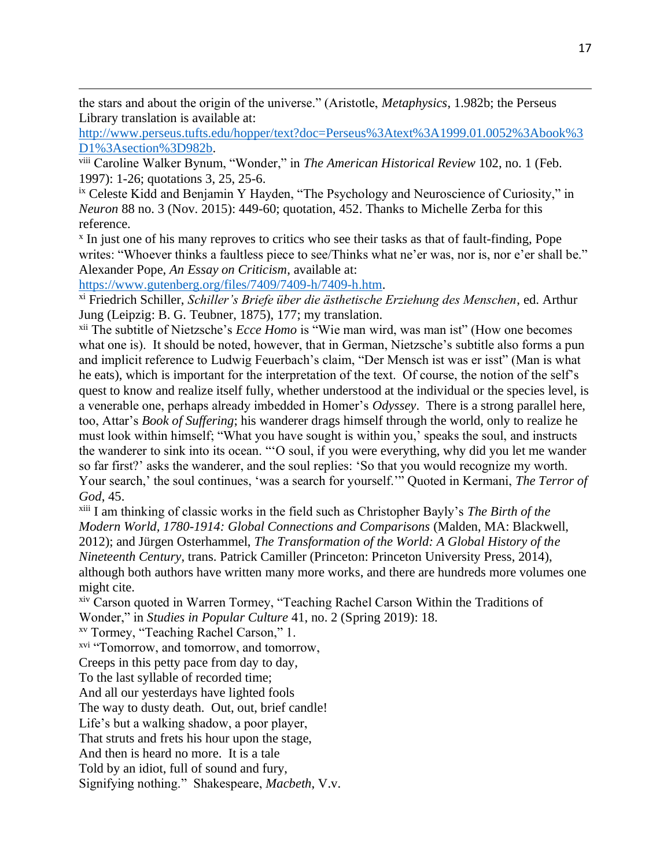the stars and about the origin of the universe." (Aristotle, *Metaphysics*, 1.982b; the Perseus Library translation is available at:

[http://www.perseus.tufts.edu/hopper/text?doc=Perseus%3Atext%3A1999.01.0052%3Abook%3](http://www.perseus.tufts.edu/hopper/text?doc=Perseus%3Atext%3A1999.01.0052%3Abook%3D1%3Asection%3D982b) [D1%3Asection%3D982b.](http://www.perseus.tufts.edu/hopper/text?doc=Perseus%3Atext%3A1999.01.0052%3Abook%3D1%3Asection%3D982b)

viii Caroline Walker Bynum, "Wonder," in *The American Historical Review* 102, no. 1 (Feb. 1997): 1-26; quotations 3, 25, 25-6.

ix Celeste Kidd and Benjamin Y Hayden, "The Psychology and Neuroscience of Curiosity," in *Neuron* 88 no. 3 (Nov. 2015): 449-60; quotation, 452. Thanks to Michelle Zerba for this reference.

x In just one of his many reproves to critics who see their tasks as that of fault-finding, Pope writes: "Whoever thinks a faultless piece to see/Thinks what ne'er was, nor is, nor e'er shall be." Alexander Pope, *An Essay on Criticism*, available at:

[https://www.gutenberg.org/files/7409/7409-h/7409-h.htm.](https://www.gutenberg.org/files/7409/7409-h/7409-h.htm)

xi Friedrich Schiller, *Schiller's Briefe über die ästhetische Erziehung des Menschen*, ed. Arthur Jung (Leipzig: B. G. Teubner, 1875), 177; my translation.

xii The subtitle of Nietzsche's *Ecce Homo* is "Wie man wird, was man ist" (How one becomes what one is). It should be noted, however, that in German, Nietzsche's subtitle also forms a pun and implicit reference to Ludwig Feuerbach's claim, "Der Mensch ist was er isst" (Man is what he eats), which is important for the interpretation of the text. Of course, the notion of the self's quest to know and realize itself fully, whether understood at the individual or the species level, is a venerable one, perhaps already imbedded in Homer's *Odyssey*. There is a strong parallel here, too, Attar's *Book of Suffering*; his wanderer drags himself through the world, only to realize he must look within himself; "What you have sought is within you,' speaks the soul, and instructs the wanderer to sink into its ocean. "'O soul, if you were everything, why did you let me wander so far first?' asks the wanderer, and the soul replies: 'So that you would recognize my worth. Your search,' the soul continues, 'was a search for yourself.'" Quoted in Kermani, *The Terror of God*, 45.

xiii I am thinking of classic works in the field such as Christopher Bayly's *The Birth of the Modern World, 1780-1914: Global Connections and Comparisons* (Malden, MA: Blackwell, 2012); and Jürgen Osterhammel, *The Transformation of the World: A Global History of the Nineteenth Century*, trans. Patrick Camiller (Princeton: Princeton University Press, 2014), although both authors have written many more works, and there are hundreds more volumes one might cite.

xiv Carson quoted in Warren Tormey, "Teaching Rachel Carson Within the Traditions of Wonder," in *Studies in Popular Culture* 41, no. 2 (Spring 2019): 18.

xv Tormey, "Teaching Rachel Carson," 1.

xvi "Tomorrow, and tomorrow, and tomorrow,

Creeps in this petty pace from day to day,

To the last syllable of recorded time;

And all our yesterdays have lighted fools

The way to dusty death. Out, out, brief candle!

Life's but a walking shadow, a poor player,

That struts and frets his hour upon the stage,

And then is heard no more. It is a tale

Told by an idiot, full of sound and fury,

Signifying nothing." Shakespeare, *Macbeth*, V.v.